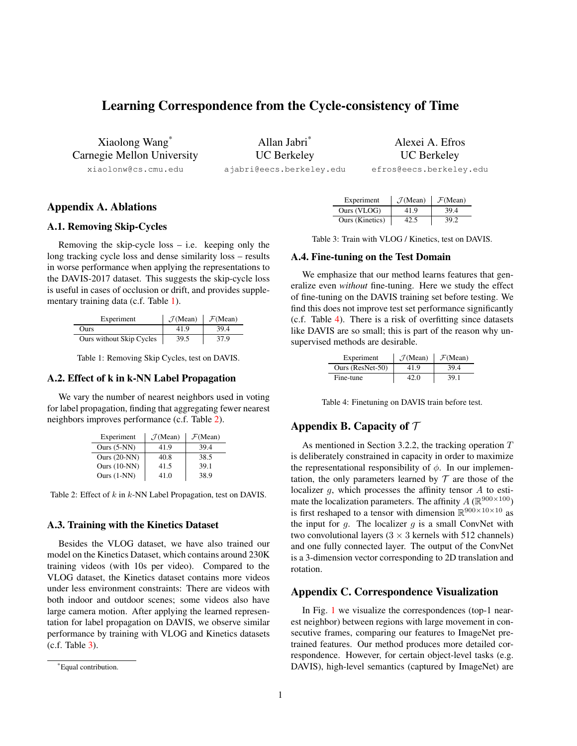# Learning Correspondence from the Cycle-consistency of Time

Xiaolong Wang\* Carnegie Mellon University

xiaolonw@cs.cmu.edu

Allan Jabri\* UC Berkeley ajabri@eecs.berkeley.edu Alexei A. Efros UC Berkeley

efros@eecs.berkeley.edu

# Appendix A. Ablations

#### A.1. Removing Skip-Cycles

Removing the skip-cycle  $loss - i.e.$  keeping only the long tracking cycle loss and dense similarity loss – results in worse performance when applying the representations to the DAVIS-2017 dataset. This suggests the skip-cycle loss is useful in cases of occlusion or drift, and provides supplementary training data (c.f. Table [1\)](#page-0-0).

<span id="page-0-0"></span>

| Experiment               | $\mathcal{J}$ (Mean) | $\mathcal{F}$ (Mean) |
|--------------------------|----------------------|----------------------|
| <b>Ours</b>              | 41.9                 | 39.4                 |
| Ours without Skip Cycles | 39.5                 | 37.9                 |

Table 1: Removing Skip Cycles, test on DAVIS.

### A.2. Effect of k in k-NN Label Propagation

<span id="page-0-1"></span>We vary the number of nearest neighbors used in voting for label propagation, finding that aggregating fewer nearest neighbors improves performance (c.f. Table [2\)](#page-0-1).

| Experiment     | $\mathcal{J}$ (Mean) | $\mathcal{F}$ (Mean) |
|----------------|----------------------|----------------------|
| Ours $(5-NN)$  | 41.9                 | 39.4                 |
| Ours $(20-NN)$ | 40.8                 | 38.5                 |
| Ours $(10-NN)$ | 41.5                 | 39.1                 |
| Ours $(1-NN)$  | 41.0                 | 38.9                 |

Table 2: Effect of  $k$  in  $k$ -NN Label Propagation, test on DAVIS.

#### A.3. Training with the Kinetics Dataset

Besides the VLOG dataset, we have also trained our model on the Kinetics Dataset, which contains around 230K training videos (with 10s per video). Compared to the VLOG dataset, the Kinetics dataset contains more videos under less environment constraints: There are videos with both indoor and outdoor scenes; some videos also have large camera motion. After applying the learned representation for label propagation on DAVIS, we observe similar performance by training with VLOG and Kinetics datasets (c.f. Table [3\)](#page-0-2).

<span id="page-0-2"></span>

| Experiment      | $\mathcal{J}$ (Mean) | $\mathcal{F}$ (Mean) |
|-----------------|----------------------|----------------------|
| Ours (VLOG)     | 41.9                 | 39.4                 |
| Ours (Kinetics) | 42.5                 | 39.2                 |

Table 3: Train with VLOG / Kinetics, test on DAVIS.

#### A.4. Fine-tuning on the Test Domain

We emphasize that our method learns features that generalize even *without* fine-tuning. Here we study the effect of fine-tuning on the DAVIS training set before testing. We find this does not improve test set performance significantly (c.f. Table [4\)](#page-0-3). There is a risk of overfitting since datasets like DAVIS are so small; this is part of the reason why unsupervised methods are desirable.

<span id="page-0-3"></span>

| Experiment       | $\mathcal{J}$ (Mean) | $\mathcal{F}$ (Mean) |
|------------------|----------------------|----------------------|
| Ours (ResNet-50) | 41.9                 | 39.4                 |
| Fine-tune        | 42. O                | 39.1                 |

Table 4: Finetuning on DAVIS train before test.

## Appendix B. Capacity of  $\mathcal T$

As mentioned in Section 3.2.2, the tracking operation  $T$ is deliberately constrained in capacity in order to maximize the representational responsibility of  $\phi$ . In our implementation, the only parameters learned by  $T$  are those of the localizer  $q$ , which processes the affinity tensor  $A$  to estimate the localization parameters. The affinity  $A(\mathbb{R}^{900\times100})$ is first reshaped to a tensor with dimension  $\mathbb{R}^{900\times10\times10}$  as the input for  $g$ . The localizer  $g$  is a small ConvNet with two convolutional layers  $(3 \times 3$  kernels with 512 channels) and one fully connected layer. The output of the ConvNet is a 3-dimension vector corresponding to 2D translation and rotation.

#### Appendix C. Correspondence Visualization

In Fig. [1](#page-1-0) we visualize the correspondences (top-1 nearest neighbor) between regions with large movement in consecutive frames, comparing our features to ImageNet pretrained features. Our method produces more detailed correspondence. However, for certain object-level tasks (e.g. DAVIS), high-level semantics (captured by ImageNet) are

<sup>\*</sup>Equal contribution.